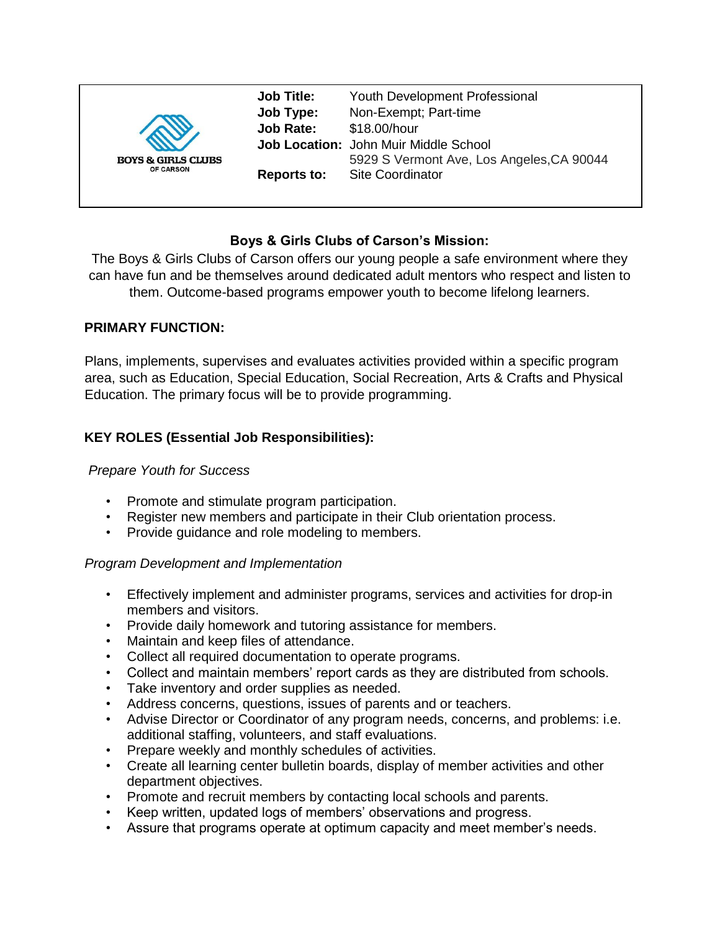|                                                   | <b>Job Title:</b><br>Job Type:<br><b>Job Rate:</b> | <b>Youth Development Professional</b><br>Non-Exempt; Part-time<br>\$18.00/hour<br>Job Location: John Muir Middle School |
|---------------------------------------------------|----------------------------------------------------|-------------------------------------------------------------------------------------------------------------------------|
| <b>BOYS &amp; GIRLS CLUBS</b><br><b>OF CARSON</b> | <b>Reports to:</b>                                 | 5929 S Vermont Ave, Los Angeles, CA 90044<br><b>Site Coordinator</b>                                                    |

# **Boys & Girls Clubs of Carson's Mission:**

The Boys & Girls Clubs of Carson offers our young people a safe environment where they can have fun and be themselves around dedicated adult mentors who respect and listen to them. Outcome-based programs empower youth to become lifelong learners.

## **PRIMARY FUNCTION:**

Plans, implements, supervises and evaluates activities provided within a specific program area, such as Education, Special Education, Social Recreation, Arts & Crafts and Physical Education. The primary focus will be to provide programming.

# **KEY ROLES (Essential Job Responsibilities):**

### *Prepare Youth for Success*

- Promote and stimulate program participation.
- Register new members and participate in their Club orientation process.
- Provide guidance and role modeling to members.

#### *Program Development and Implementation*

- Effectively implement and administer programs, services and activities for drop-in members and visitors.
- Provide daily homework and tutoring assistance for members.
- Maintain and keep files of attendance.
- Collect all required documentation to operate programs.
- Collect and maintain members' report cards as they are distributed from schools.
- Take inventory and order supplies as needed.
- Address concerns, questions, issues of parents and or teachers.
- Advise Director or Coordinator of any program needs, concerns, and problems: i.e. additional staffing, volunteers, and staff evaluations.
- Prepare weekly and monthly schedules of activities.
- Create all learning center bulletin boards, display of member activities and other department objectives.
- Promote and recruit members by contacting local schools and parents.
- Keep written, updated logs of members' observations and progress.
- Assure that programs operate at optimum capacity and meet member's needs.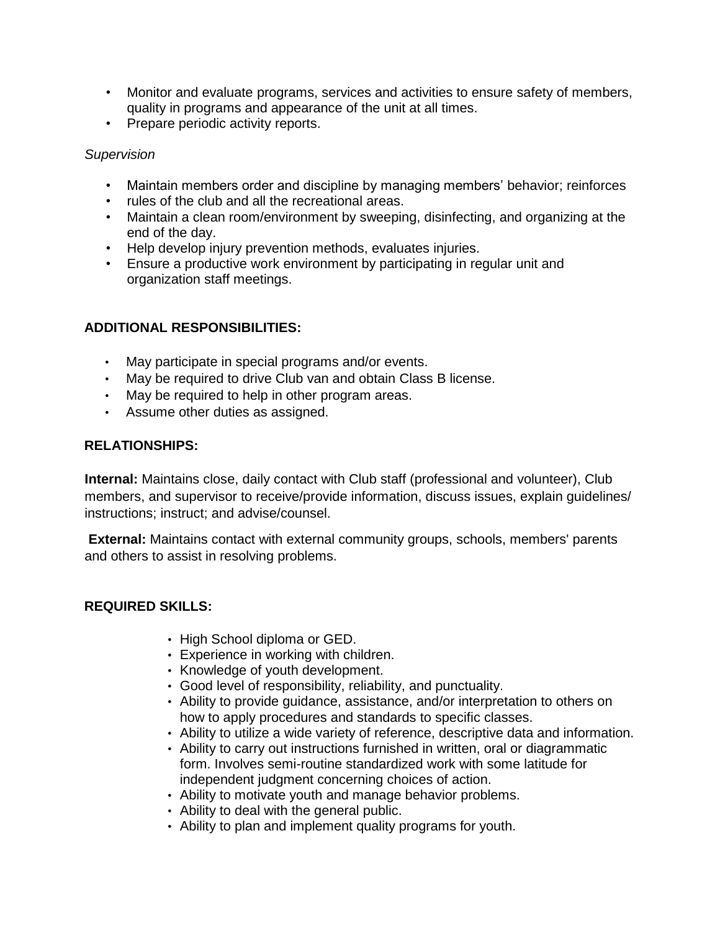- Monitor and evaluate programs, services and activities to ensure safety of members, quality in programs and appearance of the unit at all times.
- Prepare periodic activity reports.

## *Supervision*

- Maintain members order and discipline by managing members' behavior; reinforces
- rules of the club and all the recreational areas.
- Maintain a clean room/environment by sweeping, disinfecting, and organizing at the end of the day.
- Help develop injury prevention methods, evaluates injuries.
- Ensure a productive work environment by participating in regular unit and organization staff meetings.

# **ADDITIONAL RESPONSIBILITIES:**

- May participate in special programs and/or events.
- May be required to drive Club van and obtain Class B license.
- May be required to help in other program areas.
- Assume other duties as assigned.

# **RELATIONSHIPS:**

**Internal:** Maintains close, daily contact with Club staff (professional and volunteer), Club members, and supervisor to receive/provide information, discuss issues, explain guidelines/ instructions; instruct; and advise/counsel.

**External:** Maintains contact with external community groups, schools, members' parents and others to assist in resolving problems.

## **REQUIRED SKILLS:**

- High School diploma or GED.
- Experience in working with children.
- Knowledge of youth development.
- Good level of responsibility, reliability, and punctuality.
- Ability to provide guidance, assistance, and/or interpretation to others on how to apply procedures and standards to specific classes.
- Ability to utilize a wide variety of reference, descriptive data and information.
- Ability to carry out instructions furnished in written, oral or diagrammatic form. Involves semi-routine standardized work with some latitude for independent judgment concerning choices of action.
- Ability to motivate youth and manage behavior problems.
- Ability to deal with the general public.
- Ability to plan and implement quality programs for youth.